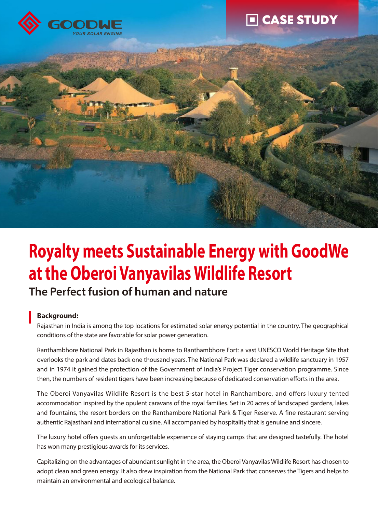





# **Royalty meets Sustainable Energy with GoodWe at the Oberoi Vanyavilas Wildlife Resort**

# **The Perfect fusion of human and nature**

# **Background:**

Rajasthan in India is among the top locations for estimated solar energy potential in the country. The geographical conditions of the state are favorable for solar power generation.

Ranthambhore National Park in Rajasthan is home to Ranthambhore Fort: a vast UNESCO World Heritage Site that overlooks the park and dates back one thousand years. The National Park was declared a wildlife sanctuary in 1957 and in 1974 it gained the protection of the Government of India's Project Tiger conservation programme. Since then, the numbers of resident tigers have been increasing because of dedicated conservation efforts in the area.

The Oberoi Vanyavilas Wildlife Resort is the best 5-star hotel in Ranthambore, and offers luxury tented accommodation inspired by the opulent caravans of the royal families. Set in 20 acres of landscaped gardens, lakes and fountains, the resort borders on the Ranthambore National Park & Tiger Reserve. A fine restaurant serving authentic Rajasthani and international cuisine. All accompanied by hospitality that is genuine and sincere.

The luxury hotel offers guests an unforgettable experience of staying camps that are designed tastefully. The hotel has won many prestigious awards for its services.

Capitalizing on the advantages of abundant sunlight in the area, the Oberoi Vanyavilas Wildlife Resort has chosen to adopt clean and green energy. It also drew inspiration from the National Park that conserves the Tigers and helps to maintain an environmental and ecological balance.